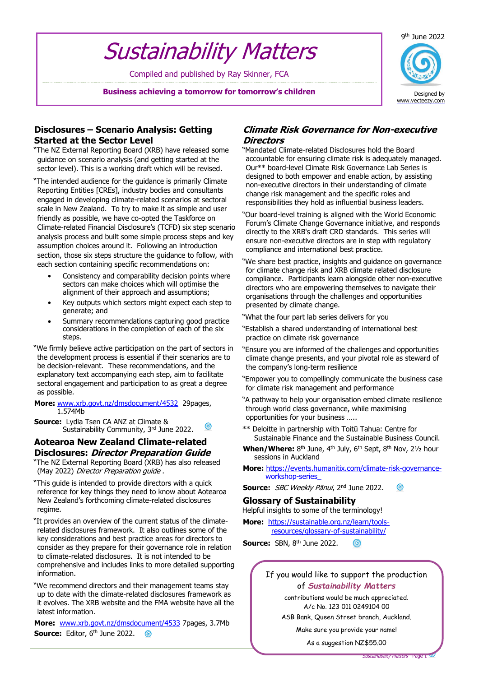#### 9 th June 2022

# Sustainability Matters

Compiled and published by Ray Skinner, FCA

**Business achieving a tomorrow for tomorrow's children**



## **Disclosures – Scenario Analysis: Getting Started at the Sector Level**

- "The NZ External Reporting Board (XRB) have released some guidance on scenario analysis (and getting started at the sector level). This is a working draft which will be revised.
- "The intended audience for the guidance is primarily Climate Reporting Entities [CREs], industry bodies and consultants engaged in developing climate-related scenarios at sectoral scale in New Zealand. To try to make it as simple and user friendly as possible, we have co-opted the Taskforce on Climate-related Financial Disclosure's (TCFD) six step scenario analysis process and built some simple process steps and key assumption choices around it. Following an introduction section, those six steps structure the quidance to follow, with each section containing specific recommendations on:
	- Consistency and comparability decision points where sectors can make choices which will optimise the alignment of their approach and assumptions;
	- Key outputs which sectors might expect each step to generate; and
	- Summary recommendations capturing good practice considerations in the completion of each of the six steps.
- "We firmly believe active participation on the part of sectors in the development process is essential if their scenarios are to be decision-relevant. These recommendations, and the explanatory text accompanying each step, aim to facilitate sectoral engagement and participation to as great a degree as possible.
- **More:** [www.xrb.govt.nz/dmsdocument/4532](http://www.xrb.govt.nz/dmsdocument/4532) 29pages, 1.574Mb
- **Source:** Lydia Tsen CA ANZ at Climate & Sustainability Community, 3rd June 2022.

## **Aotearoa New Zealand Climate-related Disclosures: Director Preparation Guide**

- "The NZ External Reporting Board (XRB) has also released (May 2022) Director Preparation quide.
- "This guide is intended to provide directors with a quick reference for key things they need to know about Aotearoa New Zealand's forthcoming climate-related disclosures regime.
- "It provides an overview of the current status of the climaterelated disclosures framework. It also outlines some of the key considerations and best practice areas for directors to consider as they prepare for their governance role in relation to climate-related disclosures. It is not intended to be comprehensive and includes links to more detailed supporting information.
- "We recommend directors and their management teams stay up to date with the climate-related disclosures framework as it evolves. The XRB website and the FMA website have all the latest information.

**More:** [www.xrb.govt.nz/dmsdocument/4533](http://www.xrb.govt.nz/dmsdocument/4533) 7pages, 3.7Mb **Source:** Editor, 6<sup>th</sup> June 2022. ര

## **Climate Risk Governance for Non-executive Directors**

- "Mandated Climate-related Disclosures hold the Board accountable for ensuring climate risk is adequately managed. Our\*\* board-level Climate Risk Governance Lab Series is designed to both empower and enable action, by assisting non-executive directors in their understanding of climate change risk management and the specific roles and responsibilities they hold as influential business leaders.
- "Our board-level training is aligned with the World Economic Forum's Climate Change Governance initiative, and responds directly to the XRB's draft CRD standards. This series will ensure non-executive directors are in step with regulatory compliance and international best practice.
- "We share best practice, insights and guidance on governance for climate change risk and XRB climate related disclosure compliance. Participants learn alongside other non-executive directors who are empowering themselves to navigate their organisations through the challenges and opportunities presented by climate change.
- "What the four part lab series delivers for you
- "Establish a shared understanding of international best practice on climate risk governance
- "Ensure you are informed of the challenges and opportunities climate change presents, and your pivotal role as steward of the company's long-term resilience
- "Empower you to compellingly communicate the business case for climate risk management and performance
- "A pathway to help your organisation embed climate resilience through world class governance, while maximising opportunities for your business …..
- \*\* Deloitte in partnership with Toitū Tahua: Centre for Sustainable Finance and the Sustainable Business Council.
- **When/Where:** 8<sup>th</sup> June, 4<sup>th</sup> July, 6<sup>th</sup> Sept, 8<sup>th</sup> Nov, 21/<sub>2</sub> hour sessions in Auckland
- **More:** [https://events.humanitix.com/climate-risk-governance](https://events.humanitix.com/climate-risk-governance-workshop-series_)[workshop-series\\_](https://events.humanitix.com/climate-risk-governance-workshop-series_)
- **Source:** SBC Weekly Pānui, 2nd June 2022. **ේ**

## **Glossary of Sustainability**

Helpful insights to some of the terminology!

**More:** [https://sustainable.org.nz/learn/tools](https://sustainable.org.nz/learn/tools-resources/glossary-of-sustainability/)[resources/glossary-of-sustainability/](https://sustainable.org.nz/learn/tools-resources/glossary-of-sustainability/)

**Source:** SBN, 8<sup>th</sup> June 2022. ര

> If you would like to support the production of *Sustainability Matters*

> > contributions would be much appreciated. A/c No. 123 011 0249104 00

ASB Bank, Queen Street branch, Auckland.

Make sure you provide your name!

As a suggestion NZ\$55.00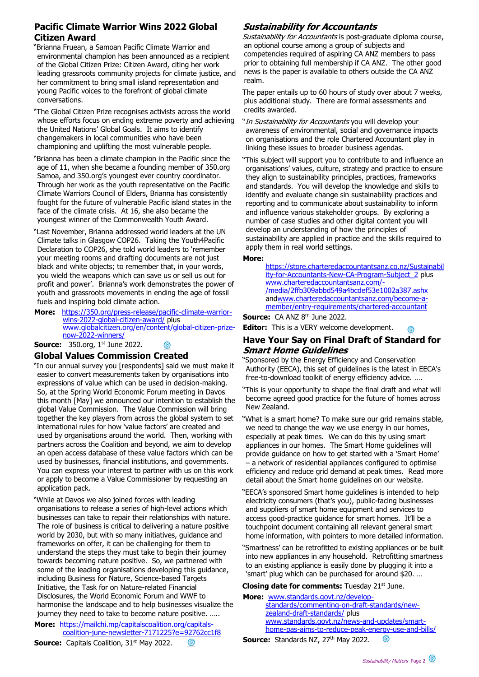## **Pacific Climate Warrior Wins 2022 Global Citizen Award**

- "Brianna Fruean, a Samoan Pacific Climate Warrior and environmental champion has been announced as a recipient of the Global Citizen Prize: Citizen Award, citing her work leading grassroots community projects for climate justice, and her commitment to bring small island representation and young Pacific voices to the forefront of global climate conversations.
- "The Global Citizen Prize recognises activists across the world whose efforts focus on ending extreme poverty and achieving the United Nations' Global Goals. It aims to identify changemakers in local communities who have been championing and uplifting the most vulnerable people.
- "Brianna has been a climate champion in the Pacific since the age of 11, when she became a founding member of 350.org Samoa, and 350.org's youngest ever country coordinator. Through her work as the youth representative on the Pacific Climate Warriors Council of Elders, Brianna has consistently fought for the future of vulnerable Pacific island states in the face of the climate crisis. At 16, she also became the youngest winner of the Commonwealth Youth Award.
- "Last November, Brianna addressed world leaders at the UN Climate talks in Glasgow COP26. Taking the Youth4Pacific Declaration to COP26, she told world leaders to 'remember your meeting rooms and drafting documents are not just black and white objects; to remember that, in your words, you wield the weapons which can save us or sell us out for profit and power'. Brianna's work demonstrates the power of youth and grassroots movements in ending the age of fossil fuels and inspiring bold climate action.
- **More:** [https://350.org/press-release/pacific-climate-warrior](https://350.org/press-release/pacific-climate-warrior-wins-2022-global-citizen-award/)[wins-2022-global-citizen-award/](https://350.org/press-release/pacific-climate-warrior-wins-2022-global-citizen-award/) plus [www.globalcitizen.org/en/content/global-citizen-prize](http://www.globalcitizen.org/en/content/global-citizen-prize-now-2022-winners/)[now-2022-winners/](http://www.globalcitizen.org/en/content/global-citizen-prize-now-2022-winners/)

**Source:** 350.org, 1st June 2022.  $\circledcirc$ 

### **Global Values Commission Created**

"In our annual survey you [respondents] said we must make it easier to convert measurements taken by organisations into expressions of value which can be used in decision-making. So, at the Spring World Economic Forum meeting in Davos this month [May] we announced our intention to establish the global Value Commission. The Value Commission will bring together the key players from across the global system to set international rules for how 'value factors' are created and used by organisations around the world. Then, working with partners across the Coalition and beyond, we aim to develop an open access database of these value factors which can be used by businesses, financial institutions, and governments. You can express your interest to partner with us on this work or apply to become a Value Commissioner by requesting an application pack.

"While at Davos we also joined forces with leading organisations to release a series of high-level actions which businesses can take to repair their relationships with nature. The role of business is critical to delivering a nature positive world by 2030, but with so many initiatives, guidance and frameworks on offer, it can be challenging for them to understand the steps they must take to begin their journey towards becoming nature positive. So, we partnered with some of the leading organisations developing this guidance, including Business for Nature, Science-based Targets Initiative, the Task for on Nature-related Financial Disclosures, the World Economic Forum and WWF to harmonise the landscape and to help businesses visualize the journey they need to take to become nature positive. …..

#### **More:** [https://mailchi.mp/capitalscoalition.org/capitals](https://mailchi.mp/capitalscoalition.org/capitals-coalition-june-newsletter-7171225?e=92762cc1f8)[coalition-june-newsletter-7171225?e=92762cc1f8](https://mailchi.mp/capitalscoalition.org/capitals-coalition-june-newsletter-7171225?e=92762cc1f8) **Source:** Capitals Coalition, 31<sup>st</sup> May 2022. <u> ග</u>

## **Sustainability for Accountants**

Sustainability for Accountants is post-graduate diploma course, an optional course among a group of subjects and competencies required of aspiring CA ANZ members to pass prior to obtaining full membership if CA ANZ. The other good news is the paper is available to others outside the CA ANZ realm.

The paper entails up to 60 hours of study over about 7 weeks, plus additional study. There are formal assessments and credits awarded.

- "In Sustainability for Accountants you will develop your awareness of environmental, social and governance impacts on organisations and the role Chartered Accountant play in linking these issues to broader business agendas.
- "This subject will support you to contribute to and influence an organisations' values, culture, strategy and practice to ensure they align to sustainability principles, practices, frameworks and standards. You will develop the knowledge and skills to identify and evaluate change sin sustainability practices and reporting and to communicate about sustainability to inform and influence various stakeholder groups. By exploring a number of case studies and other digital content you will develop an understanding of how the principles of sustainability are applied in practice and the skills required to apply them in real world settings.

#### **More:**

[https://store.charteredaccountantsanz.co.nz/Sustainabil](https://store.charteredaccountantsanz.co.nz/Sustainability-for-Accountants-New-CA-Program-Subject_2) [ity-for-Accountants-New-CA-Program-Subject\\_2](https://store.charteredaccountantsanz.co.nz/Sustainability-for-Accountants-New-CA-Program-Subject_2) plus [www.charteredaccountantsanz.com/-](http://www.charteredaccountantsanz.com/-/media/2ffb309abbd549a4bcdef53e1002a387.ashx) [/media/2ffb309abbd549a4bcdef53e1002a387.ashx](http://www.charteredaccountantsanz.com/-/media/2ffb309abbd549a4bcdef53e1002a387.ashx) an[dwww.charteredaccountantsanz.com/become-a](http://www.charteredaccountantsanz.com/become-a-member/entry-requirements/chartered-accountant)[member/entry-requirements/chartered-accountant](http://www.charteredaccountantsanz.com/become-a-member/entry-requirements/chartered-accountant)

Source: CA ANZ 8<sup>th</sup> June 2022.

**Editor:** This is a VERY welcome development.

## **Have Your Say on Final Draft of Standard for Smart Home Guidelines**

"Sponsored by the Energy Efficiency and Conservation Authority (EECA), this set of guidelines is the latest in EECA's free-to-download toolkit of energy efficiency advice. ….

"This is your opportunity to shape the final draft and what will become agreed good practice for the future of homes across New Zealand.

- "What is a smart home? To make sure our grid remains stable, we need to change the way we use energy in our homes, especially at peak times. We can do this by using smart appliances in our homes. The Smart Home guidelines will provide guidance on how to get started with a 'Smart Home' – a network of residential appliances configured to optimise efficiency and reduce grid demand at peak times. Read more detail about the Smart home guidelines on our website.
- "EECA's sponsored Smart home guidelines is intended to help electricity consumers (that's you), public-facing businesses and suppliers of smart home equipment and services to access good-practice guidance for smart homes. It'll be a touchpoint document containing all relevant general smart home information, with pointers to more detailed information.
- "Smartness' can be retrofitted to existing appliances or be built into new appliances in any household. Retrofitting smartness to an existing appliance is easily done by plugging it into a 'smart' plug which can be purchased for around \$20. …

#### **Closing date for comments:** Tuesday 21st June.

**More:** [www.standards.govt.nz/develop](http://www.standards.govt.nz/develop-standards/commenting-on-draft-standards/new-zealand-draft-standards/)[standards/commenting-on-draft-standards/new](http://www.standards.govt.nz/develop-standards/commenting-on-draft-standards/new-zealand-draft-standards/)[zealand-draft-standards/](http://www.standards.govt.nz/develop-standards/commenting-on-draft-standards/new-zealand-draft-standards/) plus [www.standards.govt.nz/news-and-updates/smart](http://www.standards.govt.nz/news-and-updates/smart-home-pas-aims-to-reduce-peak-energy-use-and-bills/)[home-pas-aims-to-reduce-peak-energy-use-and-bills/](http://www.standards.govt.nz/news-and-updates/smart-home-pas-aims-to-reduce-peak-energy-use-and-bills/) Source: Standards NZ, 27<sup>th</sup> May 2022.  $\odot$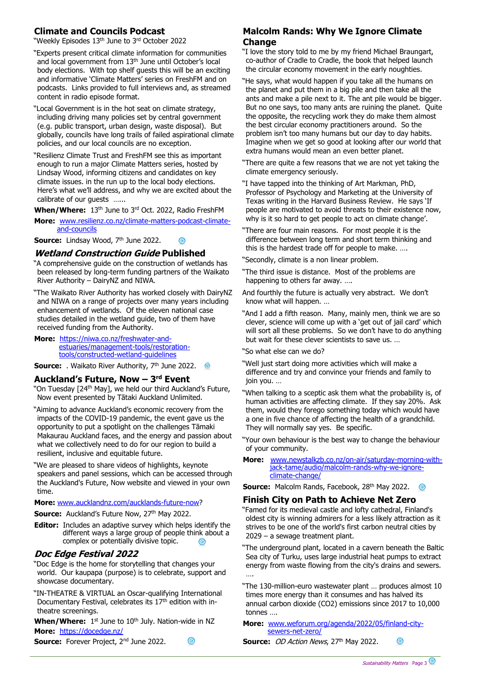## **Climate and Councils Podcast**

"Weekly Episodes 13<sup>th</sup> June to 3<sup>rd</sup> October 2022

- "Experts present critical climate information for communities and local government from 13<sup>th</sup> June until October's local body elections. With top shelf guests this will be an exciting and informative 'Climate Matters' series on FreshFM and on podcasts. Links provided to full interviews and, as streamed content in radio episode format.
- "Local Government is in the hot seat on climate strategy, including driving many policies set by central government (e.g. public transport, urban design, waste disposal). But globally, councils have long trails of failed aspirational climate policies, and our local councils are no exception.
- "Resilienz Climate Trust and FreshFM see this as important enough to run a major Climate Matters series, hosted by Lindsay Wood, informing citizens and candidates on key climate issues. in the run up to the local body elections. Here's what we'll address, and why we are excited about the calibrate of our guests …...
- **When/Where:** 13th June to 3 rd Oct. 2022, Radio FreshFM
- **More:** [www.resilienz.co.nz/climate-matters-podcast-climate](http://www.resilienz.co.nz/climate-matters-podcast-climate-and-councils)[and-councils](http://www.resilienz.co.nz/climate-matters-podcast-climate-and-councils)

 $\odot$ 

**Source:** Lindsay Wood, 7<sup>th</sup> June 2022.

#### **Wetland Construction Guide Published**

- "A comprehensive guide on the construction of wetlands has been released by long-term funding partners of the Waikato River Authority – DairyNZ and NIWA.
- "The Waikato River Authority has worked closely with DairyNZ and NIWA on a range of projects over many years including enhancement of wetlands. Of the eleven national case studies detailed in the wetland guide, two of them have received funding from the Authority.
- **More:** [https://niwa.co.nz/freshwater-and](https://niwa.co.nz/freshwater-and-estuaries/management-tools/restoration-tools/constructed-wetland-guidelines)[estuaries/management-tools/restoration](https://niwa.co.nz/freshwater-and-estuaries/management-tools/restoration-tools/constructed-wetland-guidelines)[tools/constructed-wetland-guidelines](https://niwa.co.nz/freshwater-and-estuaries/management-tools/restoration-tools/constructed-wetland-guidelines)
- **Source:** . Waikato River Authority, 7<sup>th</sup> June 2022. <sup>@</sup>

#### **Auckland's Future, Now – 3 rd Event**

- "On Tuesday [24<sup>th</sup> May], we held our third Auckland's Future, Now event presented by Tātaki Auckland Unlimited.
- "Aiming to advance Auckland's economic recovery from the impacts of the COVID-19 pandemic, the event gave us the opportunity to put a spotlight on the challenges Tāmaki Makaurau Auckland faces, and the energy and passion about what we collectively need to do for our region to build a resilient, inclusive and equitable future.
- "We are pleased to share videos of highlights, keynote speakers and panel sessions, which can be accessed through the Auckland's Future, Now website and viewed in your own time.

#### **More:** [www.aucklandnz.com/aucklands-future-now?](http://www.aucklandnz.com/aucklands-future-now)

- **Source:** Auckland's Future Now, 27<sup>th</sup> May 2022.
- **Editor:** Includes an adaptive survey which helps identify the different ways a large group of people think about a complex or potentially divisive topic.

### **Doc Edge Festival 2022**

- "Doc Edge is the home for storytelling that changes your world. Our kaupapa (purpose) is to celebrate, support and showcase documentary.
- "IN-THEATRE & VIRTUAL an Oscar-qualifying International Documentary Festival, celebrates its 17<sup>th</sup> edition with intheatre screenings.

**When/Where:** 1<sup>st</sup> June to 10<sup>th</sup> July. Nation-wide in NZ **More:** <https://docedge.nz/>

6

#### **Source:** Forever Project, 2<sup>nd</sup> June 2022.

## **Malcolm Rands: Why We Ignore Climate Change**

"I love the story told to me by my friend Michael Braungart, co-author of Cradle to Cradle, the book that helped launch the circular economy movement in the early noughties.

- "He says, what would happen if you take all the humans on the planet and put them in a big pile and then take all the ants and make a pile next to it. The ant pile would be bigger. But no one says, too many ants are ruining the planet. Quite the opposite, the recycling work they do make them almost the best circular economy practitioners around. So the problem isn't too many humans but our day to day habits. Imagine when we get so good at looking after our world that extra humans would mean an even better planet.
- "There are quite a few reasons that we are not yet taking the climate emergency seriously.
- "I have tapped into the thinking of Art Markman, PhD, Professor of Psychology and Marketing at the University of Texas writing in the Harvard Business Review. He says 'If people are motivated to avoid threats to their existence now, why is it so hard to get people to act on climate change'.
- "There are four main reasons. For most people it is the difference between long term and short term thinking and this is the hardest trade off for people to make. ….
- "Secondly, climate is a non linear problem.
- "The third issue is distance. Most of the problems are happening to others far away. ….
- And fourthly the future is actually very abstract. We don't know what will happen. …
- "And I add a fifth reason. Many, mainly men, think we are so clever, science will come up with a 'get out of jail card' which will sort all these problems. So we don't have to do anything but wait for these clever scientists to save us. …
- "So what else can we do?
- "Well just start doing more activities which will make a difference and try and convince your friends and family to join you. …
- "When talking to a sceptic ask them what the probability is, of human activities are affecting climate. If they say 20%. Ask them, would they forego something today which would have a one in five chance of affecting the health of a grandchild. They will normally say yes. Be specific.
- "Your own behaviour is the best way to change the behaviour of your community.
- **More:** [www.newstalkzb.co.nz/on-air/saturday-morning-with](http://www.newstalkzb.co.nz/on-air/saturday-morning-with-jack-tame/audio/malcolm-rands-why-we-ignore-climate-change/)[jack-tame/audio/malcolm-rands-why-we-ignore](http://www.newstalkzb.co.nz/on-air/saturday-morning-with-jack-tame/audio/malcolm-rands-why-we-ignore-climate-change/)[climate-change/](http://www.newstalkzb.co.nz/on-air/saturday-morning-with-jack-tame/audio/malcolm-rands-why-we-ignore-climate-change/)

**Source:** Malcolm Rands, Facebook, 28<sup>th</sup> May 2022.

### **Finish City on Path to Achieve Net Zero**

"Famed for its medieval castle and lofty cathedral, Finland's oldest city is winning admirers for a less likely attraction as it strives to be one of the world's first carbon neutral cities by 2029 – a sewage treatment plant.

- "The underground plant, located in a cavern beneath the Baltic Sea city of Turku, uses large industrial heat pumps to extract energy from waste flowing from the city's drains and sewers. ….
- "The 130-million-euro wastewater plant … produces almost 10 times more energy than it consumes and has halved its annual carbon dioxide (CO2) emissions since 2017 to 10,000 tonnes ….
- **More:** [www.weforum.org/agenda/2022/05/finland-city](http://www.weforum.org/agenda/2022/05/finland-city-sewers-net-zero/)[sewers-net-zero/](http://www.weforum.org/agenda/2022/05/finland-city-sewers-net-zero/)
- **Source:** OD Action News, 27<sup>th</sup> May 2022.

 $\circledcirc$